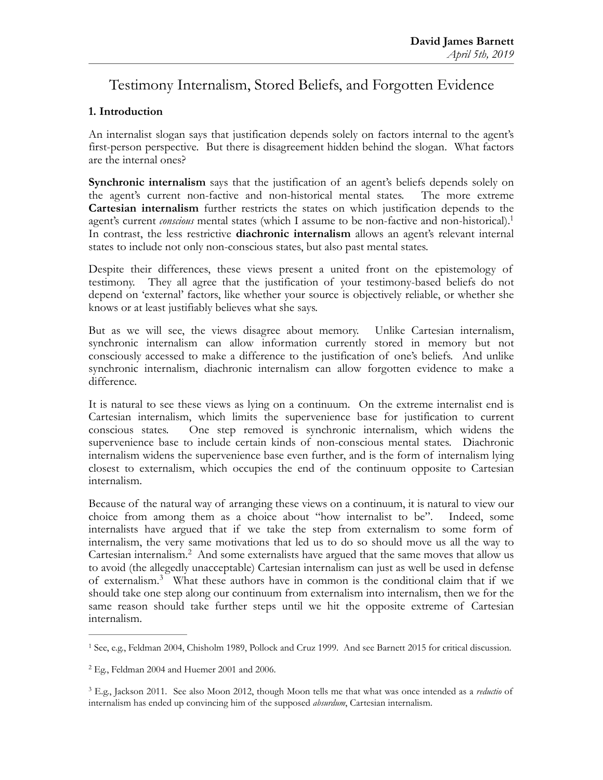# Testimony Internalism, Stored Beliefs, and Forgotten Evidence

# **1. Introduction**

An internalist slogan says that justification depends solely on factors internal to the agent's first-person perspective. But there is disagreement hidden behind the slogan. What factors are the internal ones?

<span id="page-0-3"></span>**Synchronic internalism** says that the justification of an agent's beliefs depends solely on the agent's current non-factive and non-historical mental states. The more extreme **Cartesian internalism** further restricts the states on which justification depends to the agent's current *conscious* mental states (which I assume to be non-factive and non-historical)[.1](#page-0-0) In contrast, the less restrictive **diachronic internalism** allows an agent's relevant internal states to include not only non-conscious states, but also past mental states.

Despite their differences, these views present a united front on the epistemology of testimony. They all agree that the justification of your testimony-based beliefs do not depend on 'external' factors, like whether your source is objectively reliable, or whether she knows or at least justifiably believes what she says.

But as we will see, the views disagree about memory. Unlike Cartesian internalism, synchronic internalism can allow information currently stored in memory but not consciously accessed to make a difference to the justification of one's beliefs. And unlike synchronic internalism, diachronic internalism can allow forgotten evidence to make a difference.

It is natural to see these views as lying on a continuum. On the extreme internalist end is Cartesian internalism, which limits the supervenience base for justification to current conscious states. One step removed is synchronic internalism, which widens the supervenience base to include certain kinds of non-conscious mental states. Diachronic internalism widens the supervenience base even further, and is the form of internalism lying closest to externalism, which occupies the end of the continuum opposite to Cartesian internalism.

<span id="page-0-4"></span>Because of the natural way of arranging these views on a continuum, it is natural to view our choice from among them as a choice about "how internalist to be". Indeed, some internalists have argued that if we take the step from externalism to some form of internalism, the very same motivations that led us to do so should move us all the way to Cartesian internalism.<sup>[2](#page-0-1)</sup> And some externalists have argued that the same moves that allow us to avoid (the allegedly unacceptable) Cartesian internalism can just as well be used in defense ofexternalism.<sup>[3](#page-0-2)</sup> What these authors have in common is the conditional claim that if we should take one step along our continuum from externalism into internalism, then we for the same reason should take further steps until we hit the opposite extreme of Cartesian internalism.

<span id="page-0-5"></span><span id="page-0-0"></span><sup>&</sup>lt;sup>[1](#page-0-3)</sup> See, e.g., Feldman 2004, Chisholm 1989, Pollock and Cruz 1999. And see Barnett 2015 for critical discussion.

<span id="page-0-1"></span> $2$  Eg., Feldman 2004 and Huemer 2001 and 2006.

<span id="page-0-2"></span>E.g., Jackson 2011. See also Moon 2012, though Moon tells me that what was once intended as a *reductio* of [3](#page-0-5) internalism has ended up convincing him of the supposed *absurdum*, Cartesian internalism.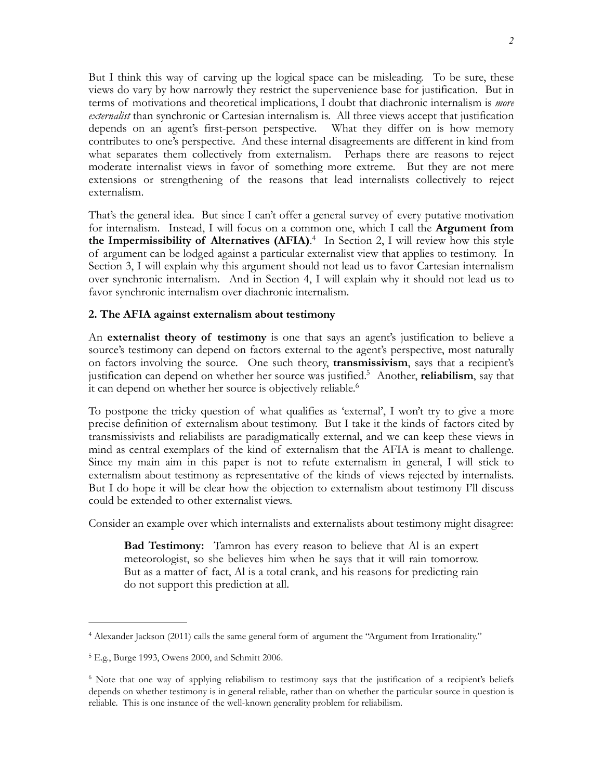But I think this way of carving up the logical space can be misleading. To be sure, these views do vary by how narrowly they restrict the supervenience base for justification. But in terms of motivations and theoretical implications, I doubt that diachronic internalism is *more externalist* than synchronic or Cartesian internalism is. All three views accept that justification depends on an agent's first-person perspective. What they differ on is how memory contributes to one's perspective. And these internal disagreements are different in kind from what separates them collectively from externalism. Perhaps there are reasons to reject moderate internalist views in favor of something more extreme. But they are not mere extensions or strengthening of the reasons that lead internalists collectively to reject externalism.

<span id="page-1-3"></span>That's the general idea. But since I can't offer a general survey of every putative motivation for internalism. Instead, I will focus on a common one, which I call the **Argument from the Impermissibility of Alternatives (AFIA).**<sup>[4](#page-1-0)</sup> In Section 2, I will review how this style of argument can be lodged against a particular externalist view that applies to testimony. In Section 3, I will explain why this argument should not lead us to favor Cartesian internalism over synchronic internalism. And in Section 4, I will explain why it should not lead us to favor synchronic internalism over diachronic internalism.

### **2. The AFIA against externalism about testimony**

An **externalist theory of testimony** is one that says an agent's justification to believe a source's testimony can depend on factors external to the agent's perspective, most naturally on factors involving the source. One such theory, **transmissivism**, says that a recipient's justification can depend on whether her source was justified.<sup>[5](#page-1-1)</sup> Another, **reliabilism**, say that it can depend on whether her source is objectively reliable.<sup>6</sup>

<span id="page-1-5"></span><span id="page-1-4"></span>To postpone the tricky question of what qualifies as 'external', I won't try to give a more precise definition of externalism about testimony. But I take it the kinds of factors cited by transmissivists and reliabilists are paradigmatically external, and we can keep these views in mind as central exemplars of the kind of externalism that the AFIA is meant to challenge. Since my main aim in this paper is not to refute externalism in general, I will stick to externalism about testimony as representative of the kinds of views rejected by internalists. But I do hope it will be clear how the objection to externalism about testimony I'll discuss could be extended to other externalist views.

Consider an example over which internalists and externalists about testimony might disagree:

**Bad Testimony:** Tamron has every reason to believe that Al is an expert meteorologist, so she believes him when he says that it will rain tomorrow. But as a matter of fact, Al is a total crank, and his reasons for predicting rain do not support this prediction at all.

<span id="page-1-0"></span>Alexander Jackson (2011) calls the same general form of argument the "Argument from Irrationality." [4](#page-1-3)

<span id="page-1-1"></span><sup>&</sup>lt;sup>[5](#page-1-4)</sup> E.g., Burge 1993, Owens 2000, and Schmitt 2006.

<span id="page-1-2"></span><sup>&</sup>lt;sup>[6](#page-1-5)</sup> Note that one way of applying reliabilism to testimony says that the justification of a recipient's beliefs depends on whether testimony is in general reliable, rather than on whether the particular source in question is reliable. This is one instance of the well-known generality problem for reliabilism.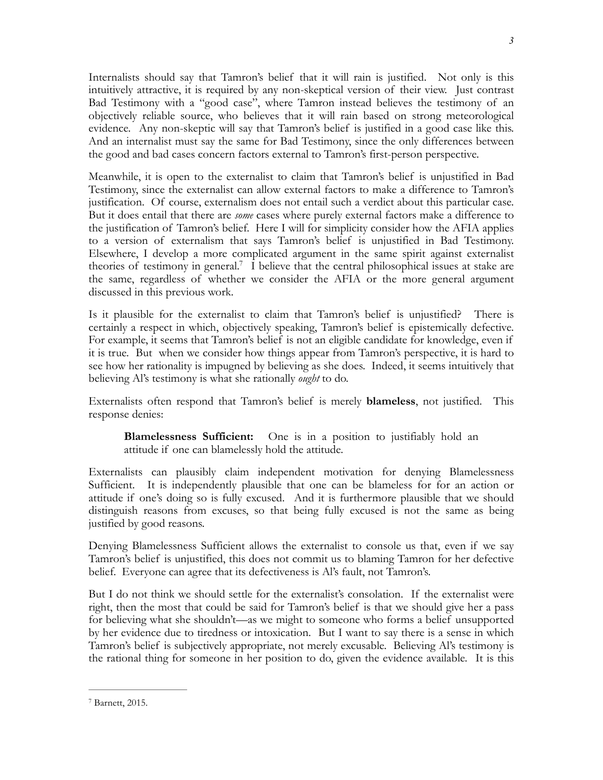Internalists should say that Tamron's belief that it will rain is justified. Not only is this intuitively attractive, it is required by any non-skeptical version of their view. Just contrast Bad Testimony with a "good case", where Tamron instead believes the testimony of an objectively reliable source, who believes that it will rain based on strong meteorological evidence. Any non-skeptic will say that Tamron's belief is justified in a good case like this. And an internalist must say the same for Bad Testimony, since the only differences between the good and bad cases concern factors external to Tamron's first-person perspective.

Meanwhile, it is open to the externalist to claim that Tamron's belief is unjustified in Bad Testimony, since the externalist can allow external factors to make a difference to Tamron's justification. Of course, externalism does not entail such a verdict about this particular case. But it does entail that there are *some* cases where purely external factors make a difference to the justification of Tamron's belief. Here I will for simplicity consider how the AFIA applies to a version of externalism that says Tamron's belief is unjustified in Bad Testimony. Elsewhere, I develop a more complicated argument in the same spirit against externalist theories of testimony in general[.](#page-2-0)<sup>[7](#page-2-0)</sup> I believe that the central philosophical issues at stake are the same, regardless of whether we consider the AFIA or the more general argument discussed in this previous work.

<span id="page-2-1"></span>Is it plausible for the externalist to claim that Tamron's belief is unjustified? There is certainly a respect in which, objectively speaking, Tamron's belief is epistemically defective. For example, it seems that Tamron's belief is not an eligible candidate for knowledge, even if it is true. But when we consider how things appear from Tamron's perspective, it is hard to see how her rationality is impugned by believing as she does. Indeed, it seems intuitively that believing Al's testimony is what she rationally *ought* to do.

Externalists often respond that Tamron's belief is merely **blameless**, not justified. This response denies:

**Blamelessness Sufficient:** One is in a position to justifiably hold an attitude if one can blamelessly hold the attitude.

Externalists can plausibly claim independent motivation for denying Blamelessness Sufficient. It is independently plausible that one can be blameless for for an action or attitude if one's doing so is fully excused. And it is furthermore plausible that we should distinguish reasons from excuses, so that being fully excused is not the same as being justified by good reasons.

Denying Blamelessness Sufficient allows the externalist to console us that, even if we say Tamron's belief is unjustified, this does not commit us to blaming Tamron for her defective belief. Everyone can agree that its defectiveness is Al's fault, not Tamron's.

But I do not think we should settle for the externalist's consolation. If the externalist were right, then the most that could be said for Tamron's belief is that we should give her a pass for believing what she shouldn't—as we might to someone who forms a belief unsupported by her evidence due to tiredness or intoxication. But I want to say there is a sense in which Tamron's belief is subjectively appropriate, not merely excusable. Believing Al's testimony is the rational thing for someone in her position to do, given the evidence available. It is this

<span id="page-2-0"></span><sup>&</sup>lt;sup>[7](#page-2-1)</sup> Barnett, 2015.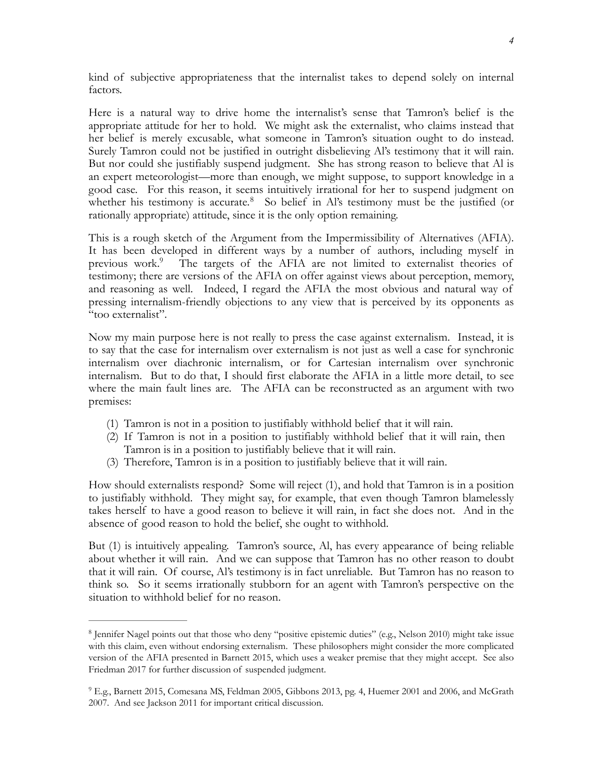kind of subjective appropriateness that the internalist takes to depend solely on internal factors.

Here is a natural way to drive home the internalist's sense that Tamron's belief is the appropriate attitude for her to hold. We might ask the externalist, who claims instead that her belief is merely excusable, what someone in Tamron's situation ought to do instead. Surely Tamron could not be justified in outright disbelieving Al's testimony that it will rain. But nor could she justifiably suspend judgment. She has strong reason to believe that Al is an expert meteorologist—more than enough, we might suppose, to support knowledge in a good case. For this reason, it seems intuitively irrational for her to suspend judgment on whether his testimony is accurate.<sup>[8](#page-3-0)</sup> So belief in Al's testimony must be the justified (or rationally appropriate) attitude, since it is the only option remaining.

<span id="page-3-3"></span><span id="page-3-2"></span>This is a rough sketch of the Argument from the Impermissibility of Alternatives (AFIA). It has been developed in different ways by a number of authors, including myself in previous work[.](#page-3-1)<sup>[9](#page-3-1)</sup> The targets of the AFIA are not limited to externalist theories of testimony; there are versions of the AFIA on offer against views about perception, memory, and reasoning as well. Indeed, I regard the AFIA the most obvious and natural way of pressing internalism-friendly objections to any view that is perceived by its opponents as "too externalist".

Now my main purpose here is not really to press the case against externalism. Instead, it is to say that the case for internalism over externalism is not just as well a case for synchronic internalism over diachronic internalism, or for Cartesian internalism over synchronic internalism. But to do that, I should first elaborate the AFIA in a little more detail, to see where the main fault lines are. The AFIA can be reconstructed as an argument with two premises:

- (1) Tamron is not in a position to justifiably withhold belief that it will rain.
- (2) If Tamron is not in a position to justifiably withhold belief that it will rain, then Tamron is in a position to justifiably believe that it will rain.
- (3) Therefore, Tamron is in a position to justifiably believe that it will rain.

How should externalists respond? Some will reject (1), and hold that Tamron is in a position to justifiably withhold. They might say, for example, that even though Tamron blamelessly takes herself to have a good reason to believe it will rain, in fact she does not. And in the absence of good reason to hold the belief, she ought to withhold.

But (1) is intuitively appealing. Tamron's source, Al, has every appearance of being reliable about whether it will rain. And we can suppose that Tamron has no other reason to doubt that it will rain. Of course, Al's testimony is in fact unreliable. But Tamron has no reason to think so. So it seems irrationally stubborn for an agent with Tamron's perspective on the situation to withhold belief for no reason.

<span id="page-3-0"></span><sup>&</sup>lt;sup>[8](#page-3-2)</sup> Jennifer Nagel points out that those who deny "positive epistemic duties" (e.g., Nelson 2010) might take issue with this claim, even without endorsing externalism. These philosophers might consider the more complicated version of the AFIA presented in Barnett 2015, which uses a weaker premise that they might accept. See also Friedman 2017 for further discussion of suspended judgment.

<span id="page-3-1"></span><sup>&</sup>lt;sup>[9](#page-3-3)</sup> E.g., Barnett 2015, Comesana MS, Feldman 2005, Gibbons 2013, pg. 4, Huemer 2001 and 2006, and McGrath 2007. And see Jackson 2011 for important critical discussion.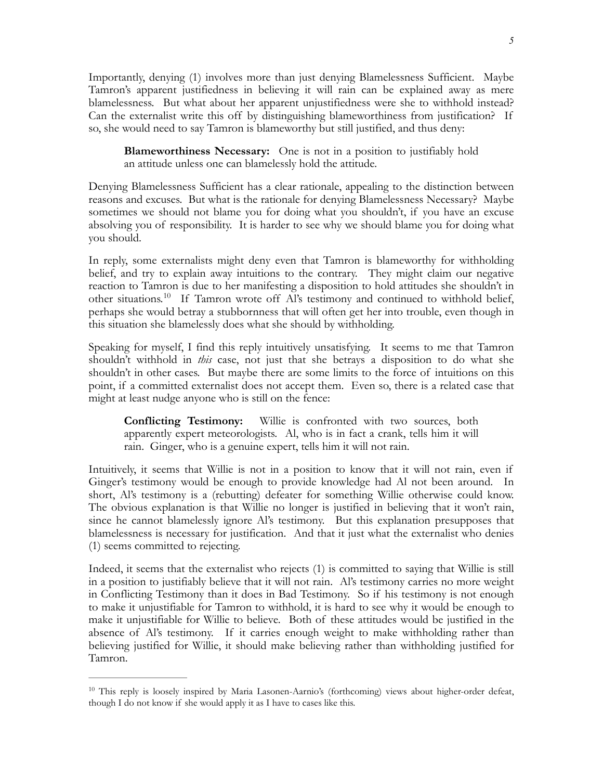Importantly, denying (1) involves more than just denying Blamelessness Sufficient. Maybe Tamron's apparent justifiedness in believing it will rain can be explained away as mere blamelessness. But what about her apparent unjustifiedness were she to withhold instead? Can the externalist write this off by distinguishing blameworthiness from justification? If so, she would need to say Tamron is blameworthy but still justified, and thus deny:

**Blameworthiness Necessary:** One is not in a position to justifiably hold an attitude unless one can blamelessly hold the attitude.

Denying Blamelessness Sufficient has a clear rationale, appealing to the distinction between reasons and excuses. But what is the rationale for denying Blamelessness Necessary? Maybe sometimes we should not blame you for doing what you shouldn't, if you have an excuse absolving you of responsibility. It is harder to see why we should blame you for doing what you should.

In reply, some externalists might deny even that Tamron is blameworthy for withholding belief, and try to explain away intuitions to the contrary. They might claim our negative reaction to Tamron is due to her manifesting a disposition to hold attitudes she shouldn't in other situations.<sup>[10](#page-4-0)</sup> If Tamron wrote off Al's testimony and continued to withhold belief, perhaps she would betray a stubbornness that will often get her into trouble, even though in this situation she blamelessly does what she should by withholding.

<span id="page-4-1"></span>Speaking for myself, I find this reply intuitively unsatisfying. It seems to me that Tamron shouldn't withhold in *this* case, not just that she betrays a disposition to do what she shouldn't in other cases. But maybe there are some limits to the force of intuitions on this point, if a committed externalist does not accept them. Even so, there is a related case that might at least nudge anyone who is still on the fence:

**Conflicting Testimony:** Willie is confronted with two sources, both apparently expert meteorologists. Al, who is in fact a crank, tells him it will rain. Ginger, who is a genuine expert, tells him it will not rain.

Intuitively, it seems that Willie is not in a position to know that it will not rain, even if Ginger's testimony would be enough to provide knowledge had Al not been around. In short, Al's testimony is a (rebutting) defeater for something Willie otherwise could know. The obvious explanation is that Willie no longer is justified in believing that it won't rain, since he cannot blamelessly ignore Al's testimony. But this explanation presupposes that blamelessness is necessary for justification. And that it just what the externalist who denies (1) seems committed to rejecting.

Indeed, it seems that the externalist who rejects (1) is committed to saying that Willie is still in a position to justifiably believe that it will not rain. Al's testimony carries no more weight in Conflicting Testimony than it does in Bad Testimony. So if his testimony is not enough to make it unjustifiable for Tamron to withhold, it is hard to see why it would be enough to make it unjustifiable for Willie to believe. Both of these attitudes would be justified in the absence of Al's testimony. If it carries enough weight to make withholding rather than believing justified for Willie, it should make believing rather than withholding justified for Tamron.

<span id="page-4-0"></span><sup>&</sup>lt;sup>[10](#page-4-1)</sup> This reply is loosely inspired by Maria Lasonen-Aarnio's (forthcoming) views about higher-order defeat, though I do not know if she would apply it as I have to cases like this.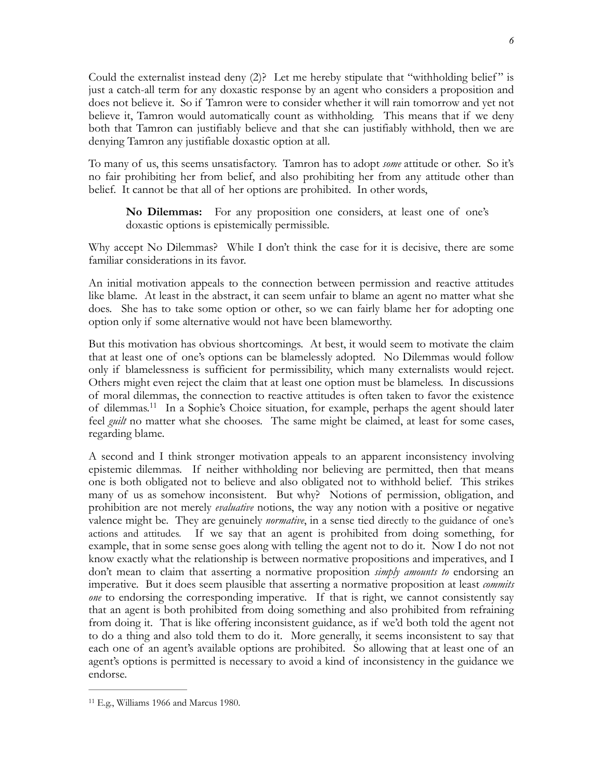Could the externalist instead deny (2)? Let me hereby stipulate that "withholding belief " is just a catch-all term for any doxastic response by an agent who considers a proposition and does not believe it. So if Tamron were to consider whether it will rain tomorrow and yet not believe it, Tamron would automatically count as withholding. This means that if we deny both that Tamron can justifiably believe and that she can justifiably withhold, then we are denying Tamron any justifiable doxastic option at all.

To many of us, this seems unsatisfactory. Tamron has to adopt *some* attitude or other. So it's no fair prohibiting her from belief, and also prohibiting her from any attitude other than belief. It cannot be that all of her options are prohibited. In other words,

**No Dilemmas:** For any proposition one considers, at least one of one's doxastic options is epistemically permissible.

Why accept No Dilemmas? While I don't think the case for it is decisive, there are some familiar considerations in its favor.

An initial motivation appeals to the connection between permission and reactive attitudes like blame. At least in the abstract, it can seem unfair to blame an agent no matter what she does. She has to take some option or other, so we can fairly blame her for adopting one option only if some alternative would not have been blameworthy.

But this motivation has obvious shortcomings. At best, it would seem to motivate the claim that at least one of one's options can be blamelessly adopted. No Dilemmas would follow only if blamelessness is sufficient for permissibility, which many externalists would reject. Others might even reject the claim that at least one option must be blameless. In discussions of moral dilemmas, the connection to reactive attitudes is often taken to favor the existence of dilemmas.<sup>[11](#page-5-0)</sup> In a Sophie's Choice situation, for example, perhaps the agent should later feel *guilt* no matter what she chooses. The same might be claimed, at least for some cases, regarding blame.

<span id="page-5-1"></span>A second and I think stronger motivation appeals to an apparent inconsistency involving epistemic dilemmas. If neither withholding nor believing are permitted, then that means one is both obligated not to believe and also obligated not to withhold belief. This strikes many of us as somehow inconsistent. But why? Notions of permission, obligation, and prohibition are not merely *evaluative* notions, the way any notion with a positive or negative valence might be. They are genuinely *normative*, in a sense tied directly to the guidance of one's actions and attitudes. If we say that an agent is prohibited from doing something, for example, that in some sense goes along with telling the agent not to do it. Now I do not not know exactly what the relationship is between normative propositions and imperatives, and I don't mean to claim that asserting a normative proposition *simply amounts to* endorsing an imperative. But it does seem plausible that asserting a normative proposition at least *commits one* to endorsing the corresponding imperative. If that is right, we cannot consistently say that an agent is both prohibited from doing something and also prohibited from refraining from doing it. That is like offering inconsistent guidance, as if we'd both told the agent not to do a thing and also told them to do it. More generally, it seems inconsistent to say that each one of an agent's available options are prohibited. So allowing that at least one of an agent's options is permitted is necessary to avoid a kind of inconsistency in the guidance we endorse.

<span id="page-5-0"></span> $11$  E.g., Williams 1966 and Marcus 1980.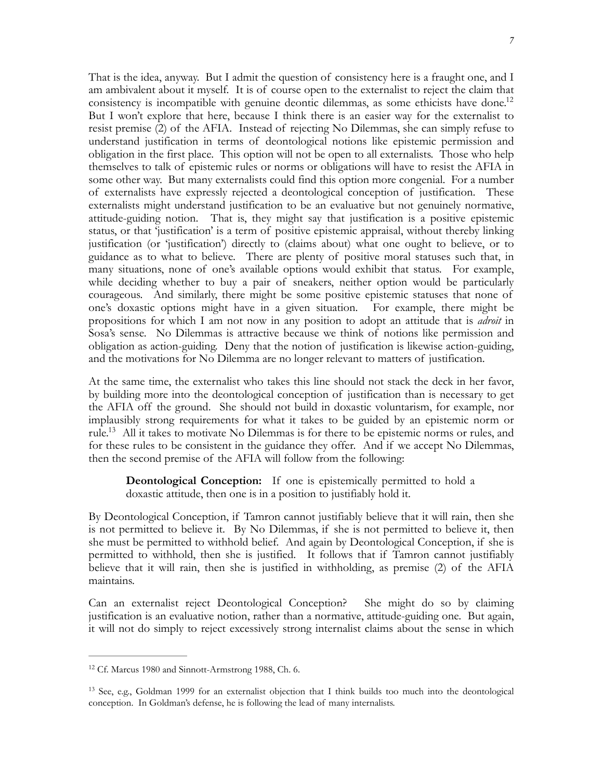<span id="page-6-2"></span>That is the idea, anyway. But I admit the question of consistency here is a fraught one, and I am ambivalent about it myself. It is of course open to the externalist to reject the claim that consistency is incompatible with genuine deontic dilemmas, as some ethicists have done.<sup>12</sup> But I won't explore that here, because I think there is an easier way for the externalist to resist premise (2) of the AFIA. Instead of rejecting No Dilemmas, she can simply refuse to understand justification in terms of deontological notions like epistemic permission and obligation in the first place. This option will not be open to all externalists. Those who help themselves to talk of epistemic rules or norms or obligations will have to resist the AFIA in some other way. But many externalists could find this option more congenial. For a number of externalists have expressly rejected a deontological conception of justification. These externalists might understand justification to be an evaluative but not genuinely normative, attitude-guiding notion. That is, they might say that justification is a positive epistemic status, or that 'justification' is a term of positive epistemic appraisal, without thereby linking justification (or 'justification') directly to (claims about) what one ought to believe, or to guidance as to what to believe. There are plenty of positive moral statuses such that, in many situations, none of one's available options would exhibit that status. For example, while deciding whether to buy a pair of sneakers, neither option would be particularly courageous. And similarly, there might be some positive epistemic statuses that none of one's doxastic options might have in a given situation. For example, there might be propositions for which I am not now in any position to adopt an attitude that is *adroit* in Sosa's sense. No Dilemmas is attractive because we think of notions like permission and obligation as action-guiding. Deny that the notion of justification is likewise action-guiding, and the motivations for No Dilemma are no longer relevant to matters of justification.

At the same time, the externalist who takes this line should not stack the deck in her favor, by building more into the deontological conception of justification than is necessary to get the AFIA off the ground. She should not build in doxastic voluntarism, for example, nor implausibly strong requirements for what it takes to be guided by an epistemic norm or rule.<sup>[13](#page-6-1)</sup> All it takes to motivate No Dilemmas is for there to be epistemic norms or rules, and for these rules to be consistent in the guidance they offer. And if we accept No Dilemmas, then the second premise of the AFIA will follow from the following:

<span id="page-6-3"></span>**Deontological Conception:** If one is epistemically permitted to hold a doxastic attitude, then one is in a position to justifiably hold it.

By Deontological Conception, if Tamron cannot justifiably believe that it will rain, then she is not permitted to believe it. By No Dilemmas, if she is not permitted to believe it, then she must be permitted to withhold belief. And again by Deontological Conception, if she is permitted to withhold, then she is justified. It follows that if Tamron cannot justifiably believe that it will rain, then she is justified in withholding, as premise (2) of the AFIA maintains.

Can an externalist reject Deontological Conception? She might do so by claiming justification is an evaluative notion, rather than a normative, attitude-guiding one. But again, it will not do simply to reject excessively strong internalist claims about the sense in which

<span id="page-6-0"></span><sup>&</sup>lt;sup>[12](#page-6-2)</sup> Cf. Marcus 1980 and Sinnott-Armstrong 1988, Ch. 6.

<span id="page-6-1"></span><sup>&</sup>lt;sup>[13](#page-6-3)</sup> See, e.g., Goldman 1999 for an externalist objection that I think builds too much into the deontological conception. In Goldman's defense, he is following the lead of many internalists.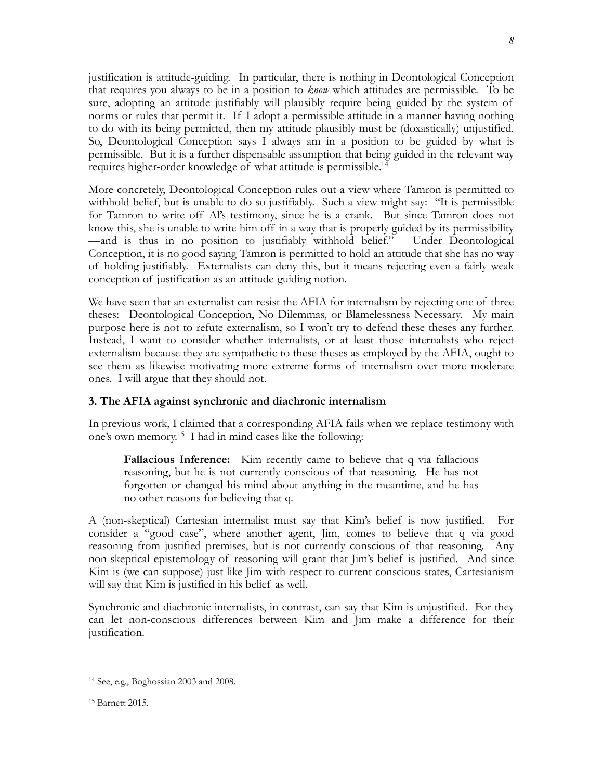justification is attitude-guiding. In particular, there is nothing in Deontological Conception that requires you always to be in a position to *know* which attitudes are permissible. To be sure, adopting an attitude justifiably will plausibly require being guided by the system of norms or rules that permit it. If I adopt a permissible attitude in a manner having nothing to do with its being permitted, then my attitude plausibly must be (doxastically) unjustified. So, Deontological Conception says I always am in a position to be guided by what is permissible. But it is a further dispensable assumption that being guided in the relevant way requires higher-order knowledge of what attitude is permissible[.14](#page-7-0)

<span id="page-7-2"></span>More concretely, Deontological Conception rules out a view where Tamron is permitted to withhold belief, but is unable to do so justifiably. Such a view might say: "It is permissible for Tamron to write off Al's testimony, since he is a crank. But since Tamron does not know this, she is unable to write him off in a way that is properly guided by its permissibility —and is thus in no position to justifiably withhold belief." Under Deontological Conception, it is no good saying Tamron is permitted to hold an attitude that she has no way of holding justifiably. Externalists can deny this, but it means rejecting even a fairly weak conception of justification as an attitude-guiding notion.

We have seen that an externalist can resist the AFIA for internalism by rejecting one of three theses: Deontological Conception, No Dilemmas, or Blamelessness Necessary. My main purpose here is not to refute externalism, so I won't try to defend these theses any further. Instead, I want to consider whether internalists, or at least those internalists who reject externalism because they are sympathetic to these theses as employed by the AFIA, ought to see them as likewise motivating more extreme forms of internalism over more moderate ones. I will argue that they should not.

#### **3. The AFIA against synchronic and diachronic internalism**

In previous work, I claimed that a corresponding AFIA fails when we replace testimony with one's own memory.<sup>[15](#page-7-1)</sup> I had in mind cases like the following:

<span id="page-7-3"></span>**Fallacious Inference:** Kim recently came to believe that q via fallacious reasoning, but he is not currently conscious of that reasoning. He has not forgotten or changed his mind about anything in the meantime, and he has no other reasons for believing that q.

A (non-skeptical) Cartesian internalist must say that Kim's belief is now justified. For consider a "good case", where another agent, Jim, comes to believe that q via good reasoning from justified premises, but is not currently conscious of that reasoning. Any non-skeptical epistemology of reasoning will grant that Jim's belief is justified. And since Kim is (we can suppose) just like Jim with respect to current conscious states, Cartesianism will say that Kim is justified in his belief as well.

Synchronic and diachronic internalists, in contrast, can say that Kim is unjustified. For they can let non-conscious differences between Kim and Jim make a difference for their justification.

<span id="page-7-1"></span><sup>[15](#page-7-3)</sup> Barnett 2015.

<span id="page-7-0"></span> $14$  See, e.g., Boghossian 2003 and 2008.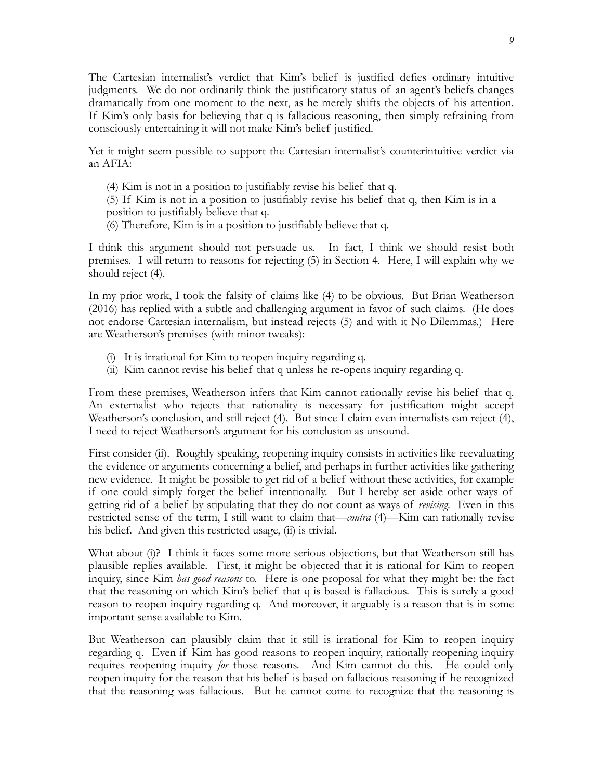The Cartesian internalist's verdict that Kim's belief is justified defies ordinary intuitive judgments. We do not ordinarily think the justificatory status of an agent's beliefs changes dramatically from one moment to the next, as he merely shifts the objects of his attention. If Kim's only basis for believing that q is fallacious reasoning, then simply refraining from consciously entertaining it will not make Kim's belief justified.

Yet it might seem possible to support the Cartesian internalist's counterintuitive verdict via an AFIA:

- (4) Kim is not in a position to justifiably revise his belief that q.
- (5) If Kim is not in a position to justifiably revise his belief that q, then Kim is in a position to justifiably believe that q.
- (6) Therefore, Kim is in a position to justifiably believe that q.

I think this argument should not persuade us. In fact, I think we should resist both premises. I will return to reasons for rejecting (5) in Section 4. Here, I will explain why we should reject (4).

In my prior work, I took the falsity of claims like (4) to be obvious. But Brian Weatherson (2016) has replied with a subtle and challenging argument in favor of such claims. (He does not endorse Cartesian internalism, but instead rejects (5) and with it No Dilemmas.) Here are Weatherson's premises (with minor tweaks):

- (i) It is irrational for Kim to reopen inquiry regarding q.
- (ii) Kim cannot revise his belief that q unless he re-opens inquiry regarding q.

From these premises, Weatherson infers that Kim cannot rationally revise his belief that q. An externalist who rejects that rationality is necessary for justification might accept Weatherson's conclusion, and still reject (4). But since I claim even internalists can reject (4), I need to reject Weatherson's argument for his conclusion as unsound.

First consider (ii). Roughly speaking, reopening inquiry consists in activities like reevaluating the evidence or arguments concerning a belief, and perhaps in further activities like gathering new evidence. It might be possible to get rid of a belief without these activities, for example if one could simply forget the belief intentionally. But I hereby set aside other ways of getting rid of a belief by stipulating that they do not count as ways of *revising*. Even in this restricted sense of the term, I still want to claim that—*contra* (4)—Kim can rationally revise his belief. And given this restricted usage, (ii) is trivial.

What about (i)? I think it faces some more serious objections, but that Weatherson still has plausible replies available. First, it might be objected that it is rational for Kim to reopen inquiry, since Kim *has good reasons* to. Here is one proposal for what they might be: the fact that the reasoning on which Kim's belief that q is based is fallacious. This is surely a good reason to reopen inquiry regarding q. And moreover, it arguably is a reason that is in some important sense available to Kim.

But Weatherson can plausibly claim that it still is irrational for Kim to reopen inquiry regarding q. Even if Kim has good reasons to reopen inquiry, rationally reopening inquiry requires reopening inquiry *for* those reasons. And Kim cannot do this. He could only reopen inquiry for the reason that his belief is based on fallacious reasoning if he recognized that the reasoning was fallacious. But he cannot come to recognize that the reasoning is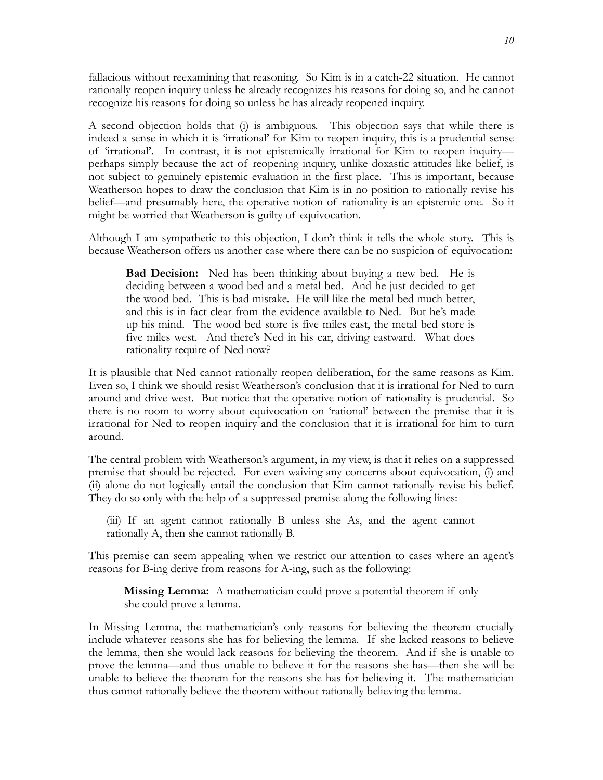fallacious without reexamining that reasoning. So Kim is in a catch-22 situation. He cannot rationally reopen inquiry unless he already recognizes his reasons for doing so, and he cannot recognize his reasons for doing so unless he has already reopened inquiry.

A second objection holds that (i) is ambiguous. This objection says that while there is indeed a sense in which it is 'irrational' for Kim to reopen inquiry, this is a prudential sense of 'irrational'. In contrast, it is not epistemically irrational for Kim to reopen inquiry perhaps simply because the act of reopening inquiry, unlike doxastic attitudes like belief, is not subject to genuinely epistemic evaluation in the first place. This is important, because Weatherson hopes to draw the conclusion that Kim is in no position to rationally revise his belief—and presumably here, the operative notion of rationality is an epistemic one. So it might be worried that Weatherson is guilty of equivocation.

Although I am sympathetic to this objection, I don't think it tells the whole story. This is because Weatherson offers us another case where there can be no suspicion of equivocation:

**Bad Decision:** Ned has been thinking about buying a new bed. He is deciding between a wood bed and a metal bed. And he just decided to get the wood bed. This is bad mistake. He will like the metal bed much better, and this is in fact clear from the evidence available to Ned. But he's made up his mind. The wood bed store is five miles east, the metal bed store is five miles west. And there's Ned in his car, driving eastward. What does rationality require of Ned now?

It is plausible that Ned cannot rationally reopen deliberation, for the same reasons as Kim. Even so, I think we should resist Weatherson's conclusion that it is irrational for Ned to turn around and drive west. But notice that the operative notion of rationality is prudential. So there is no room to worry about equivocation on 'rational' between the premise that it is irrational for Ned to reopen inquiry and the conclusion that it is irrational for him to turn around.

The central problem with Weatherson's argument, in my view, is that it relies on a suppressed premise that should be rejected. For even waiving any concerns about equivocation, (i) and (ii) alone do not logically entail the conclusion that Kim cannot rationally revise his belief. They do so only with the help of a suppressed premise along the following lines:

(iii) If an agent cannot rationally B unless she As, and the agent cannot rationally A, then she cannot rationally B.

This premise can seem appealing when we restrict our attention to cases where an agent's reasons for B-ing derive from reasons for A-ing, such as the following:

**Missing Lemma:** A mathematician could prove a potential theorem if only she could prove a lemma.

In Missing Lemma, the mathematician's only reasons for believing the theorem crucially include whatever reasons she has for believing the lemma. If she lacked reasons to believe the lemma, then she would lack reasons for believing the theorem. And if she is unable to prove the lemma—and thus unable to believe it for the reasons she has—then she will be unable to believe the theorem for the reasons she has for believing it. The mathematician thus cannot rationally believe the theorem without rationally believing the lemma.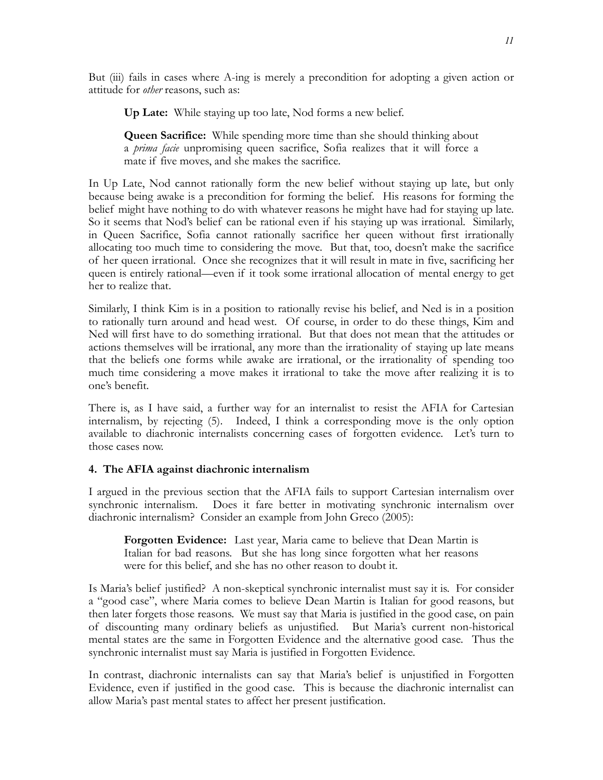But (iii) fails in cases where A-ing is merely a precondition for adopting a given action or attitude for *other* reasons, such as:

**Up Late:** While staying up too late, Nod forms a new belief.

**Queen Sacrifice:** While spending more time than she should thinking about a *prima facie* unpromising queen sacrifice, Sofia realizes that it will force a mate if five moves, and she makes the sacrifice.

In Up Late, Nod cannot rationally form the new belief without staying up late, but only because being awake is a precondition for forming the belief. His reasons for forming the belief might have nothing to do with whatever reasons he might have had for staying up late. So it seems that Nod's belief can be rational even if his staying up was irrational. Similarly, in Queen Sacrifice, Sofia cannot rationally sacrifice her queen without first irrationally allocating too much time to considering the move. But that, too, doesn't make the sacrifice of her queen irrational. Once she recognizes that it will result in mate in five, sacrificing her queen is entirely rational—even if it took some irrational allocation of mental energy to get her to realize that.

Similarly, I think Kim is in a position to rationally revise his belief, and Ned is in a position to rationally turn around and head west. Of course, in order to do these things, Kim and Ned will first have to do something irrational. But that does not mean that the attitudes or actions themselves will be irrational, any more than the irrationality of staying up late means that the beliefs one forms while awake are irrational, or the irrationality of spending too much time considering a move makes it irrational to take the move after realizing it is to one's benefit.

There is, as I have said, a further way for an internalist to resist the AFIA for Cartesian internalism, by rejecting (5). Indeed, I think a corresponding move is the only option available to diachronic internalists concerning cases of forgotten evidence. Let's turn to those cases now.

## **4. The AFIA against diachronic internalism**

I argued in the previous section that the AFIA fails to support Cartesian internalism over synchronic internalism. Does it fare better in motivating synchronic internalism over diachronic internalism? Consider an example from John Greco (2005):

**Forgotten Evidence:** Last year, Maria came to believe that Dean Martin is Italian for bad reasons. But she has long since forgotten what her reasons were for this belief, and she has no other reason to doubt it.

Is Maria's belief justified? A non-skeptical synchronic internalist must say it is. For consider a "good case", where Maria comes to believe Dean Martin is Italian for good reasons, but then later forgets those reasons. We must say that Maria is justified in the good case, on pain of discounting many ordinary beliefs as unjustified. But Maria's current non-historical mental states are the same in Forgotten Evidence and the alternative good case. Thus the synchronic internalist must say Maria is justified in Forgotten Evidence.

In contrast, diachronic internalists can say that Maria's belief is unjustified in Forgotten Evidence, even if justified in the good case. This is because the diachronic internalist can allow Maria's past mental states to affect her present justification.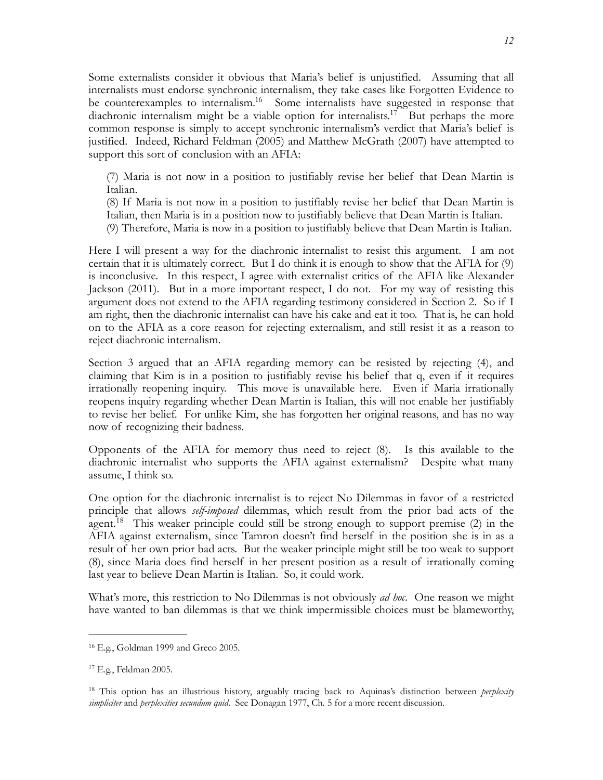Some externalists consider it obvious that Maria's belief is unjustified. Assuming that all internalists must endorse synchronic internalism, they take cases like Forgotten Evidence to be counterexamples to internalism.<sup>[16](#page-11-0)</sup> Some internalists have suggested in response that diachronic internalism might be a viable option for internalists.<sup>[17](#page-11-1)<sup> $-$ </sup>But perhaps the more</sup> common response is simply to accept synchronic internalism's verdict that Maria's belief is justified. Indeed, Richard Feldman (2005) and Matthew McGrath (2007) have attempted to support this sort of conclusion with an AFIA:

<span id="page-11-4"></span><span id="page-11-3"></span>(7) Maria is not now in a position to justifiably revise her belief that Dean Martin is Italian.

(8) If Maria is not now in a position to justifiably revise her belief that Dean Martin is Italian, then Maria is in a position now to justifiably believe that Dean Martin is Italian.

(9) Therefore, Maria is now in a position to justifiably believe that Dean Martin is Italian.

Here I will present a way for the diachronic internalist to resist this argument. I am not certain that it is ultimately correct. But I do think it is enough to show that the AFIA for (9) is inconclusive. In this respect, I agree with externalist critics of the AFIA like Alexander Jackson (2011). But in a more important respect, I do not. For my way of resisting this argument does not extend to the AFIA regarding testimony considered in Section 2. So if I am right, then the diachronic internalist can have his cake and eat it too. That is, he can hold on to the AFIA as a core reason for rejecting externalism, and still resist it as a reason to reject diachronic internalism.

Section 3 argued that an AFIA regarding memory can be resisted by rejecting (4), and claiming that Kim is in a position to justifiably revise his belief that q, even if it requires irrationally reopening inquiry. This move is unavailable here. Even if Maria irrationally reopens inquiry regarding whether Dean Martin is Italian, this will not enable her justifiably to revise her belief. For unlike Kim, she has forgotten her original reasons, and has no way now of recognizing their badness.

Opponents of the AFIA for memory thus need to reject (8). Is this available to the diachronic internalist who supports the AFIA against externalism? Despite what many assume, I think so.

<span id="page-11-5"></span>One option for the diachronic internalist is to reject No Dilemmas in favor of a restricted principle that allows *self-imposed* dilemmas, which result from the prior bad acts of the agent.<sup>[18](#page-11-2)</sup> This weaker principle could still be strong enough to support premise  $(2)$  in the AFIA against externalism, since Tamron doesn't find herself in the position she is in as a result of her own prior bad acts. But the weaker principle might still be too weak to support (8), since Maria does find herself in her present position as a result of irrationally coming last year to believe Dean Martin is Italian. So, it could work.

What's more, this restriction to No Dilemmas is not obviously *ad hoc*. One reason we might have wanted to ban dilemmas is that we think impermissible choices must be blameworthy,

<span id="page-11-0"></span><sup>&</sup>lt;sup>[16](#page-11-3)</sup> E.g., Goldman 1999 and Greco 2005.

<span id="page-11-1"></span> $17$  E.g., Feldman 2005.

<span id="page-11-2"></span><sup>&</sup>lt;sup>[18](#page-11-5)</sup> This option has an illustrious history, arguably tracing back to Aquinas's distinction between *perplexity simpliciter* and *perplexities secundum quid*. See Donagan 1977, Ch. 5 for a more recent discussion.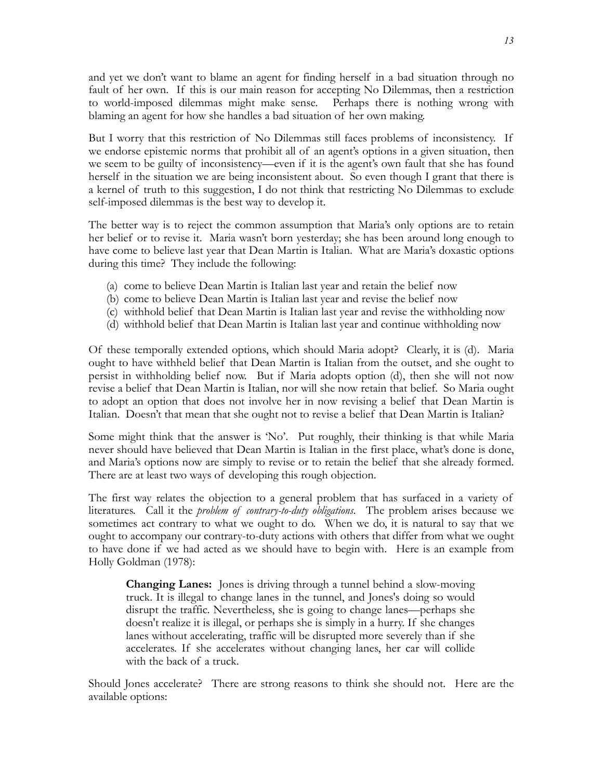and yet we don't want to blame an agent for finding herself in a bad situation through no fault of her own. If this is our main reason for accepting No Dilemmas, then a restriction to world-imposed dilemmas might make sense. Perhaps there is nothing wrong with blaming an agent for how she handles a bad situation of her own making.

But I worry that this restriction of No Dilemmas still faces problems of inconsistency. If we endorse epistemic norms that prohibit all of an agent's options in a given situation, then we seem to be guilty of inconsistency—even if it is the agent's own fault that she has found herself in the situation we are being inconsistent about. So even though I grant that there is a kernel of truth to this suggestion, I do not think that restricting No Dilemmas to exclude self-imposed dilemmas is the best way to develop it.

The better way is to reject the common assumption that Maria's only options are to retain her belief or to revise it. Maria wasn't born yesterday; she has been around long enough to have come to believe last year that Dean Martin is Italian. What are Maria's doxastic options during this time? They include the following:

- (a) come to believe Dean Martin is Italian last year and retain the belief now
- (b) come to believe Dean Martin is Italian last year and revise the belief now
- (c) withhold belief that Dean Martin is Italian last year and revise the withholding now
- (d) withhold belief that Dean Martin is Italian last year and continue withholding now

Of these temporally extended options, which should Maria adopt? Clearly, it is (d). Maria ought to have withheld belief that Dean Martin is Italian from the outset, and she ought to persist in withholding belief now. But if Maria adopts option (d), then she will not now revise a belief that Dean Martin is Italian, nor will she now retain that belief. So Maria ought to adopt an option that does not involve her in now revising a belief that Dean Martin is Italian. Doesn't that mean that she ought not to revise a belief that Dean Martin is Italian?

Some might think that the answer is 'No'. Put roughly, their thinking is that while Maria never should have believed that Dean Martin is Italian in the first place, what's done is done, and Maria's options now are simply to revise or to retain the belief that she already formed. There are at least two ways of developing this rough objection.

The first way relates the objection to a general problem that has surfaced in a variety of literatures. Call it the *problem of contrary-to-duty obligations*. The problem arises because we sometimes act contrary to what we ought to do. When we do, it is natural to say that we ought to accompany our contrary-to-duty actions with others that differ from what we ought to have done if we had acted as we should have to begin with. Here is an example from Holly Goldman (1978):

**Changing Lanes:** Jones is driving through a tunnel behind a slow-moving truck. It is illegal to change lanes in the tunnel, and Jones's doing so would disrupt the traffic. Nevertheless, she is going to change lanes—perhaps she doesn't realize it is illegal, or perhaps she is simply in a hurry. If she changes lanes without accelerating, traffic will be disrupted more severely than if she accelerates. If she accelerates without changing lanes, her car will collide with the back of a truck.

Should Jones accelerate? There are strong reasons to think she should not. Here are the available options: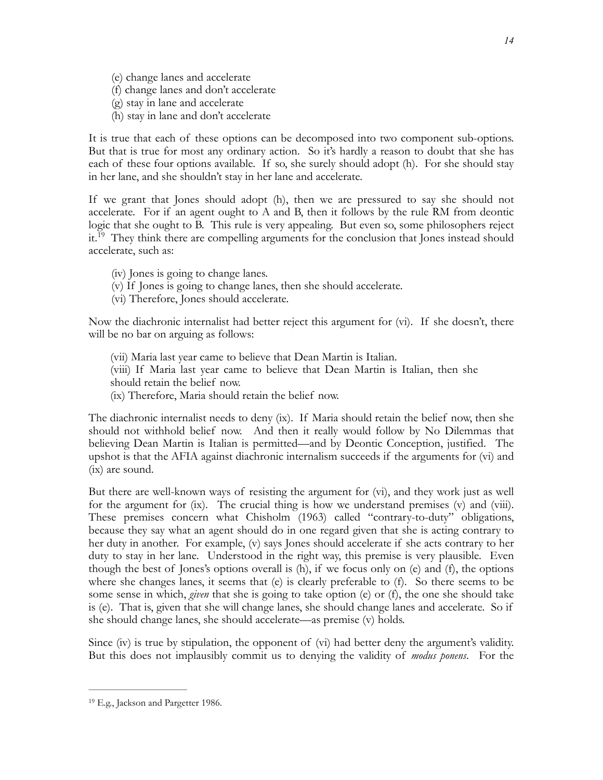- (e) change lanes and accelerate
- (f) change lanes and don't accelerate
- (g) stay in lane and accelerate
- (h) stay in lane and don't accelerate

It is true that each of these options can be decomposed into two component sub-options. But that is true for most any ordinary action. So it's hardly a reason to doubt that she has each of these four options available. If so, she surely should adopt (h). For she should stay in her lane, and she shouldn't stay in her lane and accelerate.

If we grant that Jones should adopt (h), then we are pressured to say she should not accelerate. For if an agent ought to A and B, then it follows by the rule RM from deontic logic that she ought to B. This rule is very appealing. But even so, some philosophers reject it.<sup>[19](#page-13-0)</sup> They think there are compelling arguments for the conclusion that Jones instead should accelerate, such as:

- <span id="page-13-1"></span>(iv) Jones is going to change lanes.
- (v) If Jones is going to change lanes, then she should accelerate.
- (vi) Therefore, Jones should accelerate.

Now the diachronic internalist had better reject this argument for (vi). If she doesn't, there will be no bar on arguing as follows:

- (vii) Maria last year came to believe that Dean Martin is Italian.
- (viii) If Maria last year came to believe that Dean Martin is Italian, then she should retain the belief now.
- (ix) Therefore, Maria should retain the belief now.

The diachronic internalist needs to deny (ix). If Maria should retain the belief now, then she should not withhold belief now. And then it really would follow by No Dilemmas that believing Dean Martin is Italian is permitted—and by Deontic Conception, justified. The upshot is that the AFIA against diachronic internalism succeeds if the arguments for (vi) and (ix) are sound.

But there are well-known ways of resisting the argument for (vi), and they work just as well for the argument for (ix). The crucial thing is how we understand premises (v) and (viii). These premises concern what Chisholm (1963) called "contrary-to-duty" obligations, because they say what an agent should do in one regard given that she is acting contrary to her duty in another. For example, (v) says Jones should accelerate if she acts contrary to her duty to stay in her lane. Understood in the right way, this premise is very plausible. Even though the best of Jones's options overall is (h), if we focus only on (e) and (f), the options where she changes lanes, it seems that (e) is clearly preferable to (f). So there seems to be some sense in which, *given* that she is going to take option (e) or (f), the one she should take is (e). That is, given that she will change lanes, she should change lanes and accelerate. So if she should change lanes, she should accelerate—as premise (v) holds.

Since (iv) is true by stipulation, the opponent of (vi) had better deny the argument's validity. But this does not implausibly commit us to denying the validity of *modus ponens*. For the

<span id="page-13-0"></span><sup>&</sup>lt;sup>[19](#page-13-1)</sup> E.g., Jackson and Pargetter 1986.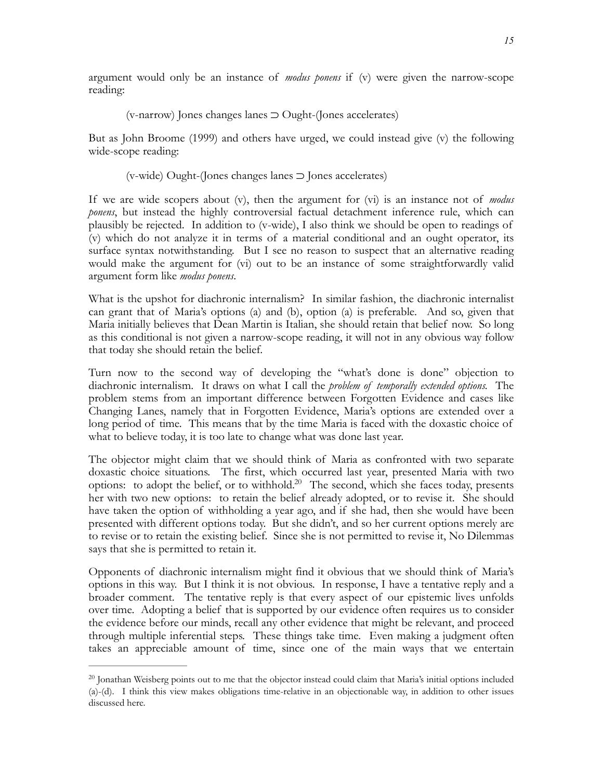argument would only be an instance of *modus ponens* if (v) were given the narrow-scope reading:

(v-narrow) Jones changes lanes ⊃ Ought-(Jones accelerates)

But as John Broome (1999) and others have urged, we could instead give (v) the following wide-scope reading:

(v-wide) Ought-(Jones changes lanes ⊃ Jones accelerates)

If we are wide scopers about (v), then the argument for (vi) is an instance not of *modus ponens*, but instead the highly controversial factual detachment inference rule, which can plausibly be rejected. In addition to (v-wide), I also think we should be open to readings of (v) which do not analyze it in terms of a material conditional and an ought operator, its surface syntax notwithstanding. But I see no reason to suspect that an alternative reading would make the argument for (vi) out to be an instance of some straightforwardly valid argument form like *modus ponens*.

What is the upshot for diachronic internalism? In similar fashion, the diachronic internalist can grant that of Maria's options (a) and (b), option (a) is preferable. And so, given that Maria initially believes that Dean Martin is Italian, she should retain that belief now. So long as this conditional is not given a narrow-scope reading, it will not in any obvious way follow that today she should retain the belief.

Turn now to the second way of developing the "what's done is done" objection to diachronic internalism. It draws on what I call the *problem of temporally extended options.* The problem stems from an important difference between Forgotten Evidence and cases like Changing Lanes, namely that in Forgotten Evidence, Maria's options are extended over a long period of time. This means that by the time Maria is faced with the doxastic choice of what to believe today, it is too late to change what was done last year.

<span id="page-14-1"></span>The objector might claim that we should think of Maria as confronted with two separate doxastic choice situations. The first, which occurred last year, presented Maria with two options: to adopt the belief, or to withhold.<sup>[20](#page-14-0)</sup> The second, which she faces today, presents her with two new options: to retain the belief already adopted, or to revise it. She should have taken the option of withholding a year ago, and if she had, then she would have been presented with different options today. But she didn't, and so her current options merely are to revise or to retain the existing belief. Since she is not permitted to revise it, No Dilemmas says that she is permitted to retain it.

Opponents of diachronic internalism might find it obvious that we should think of Maria's options in this way. But I think it is not obvious. In response, I have a tentative reply and a broader comment. The tentative reply is that every aspect of our epistemic lives unfolds over time. Adopting a belief that is supported by our evidence often requires us to consider the evidence before our minds, recall any other evidence that might be relevant, and proceed through multiple inferential steps. These things take time. Even making a judgment often takes an appreciable amount of time, since one of the main ways that we entertain

<span id="page-14-0"></span> $20$  Jonathan Weisberg points out to me that the objector instead could claim that Maria's initial options included (a)-(d). I think this view makes obligations time-relative in an objectionable way, in addition to other issues discussed here.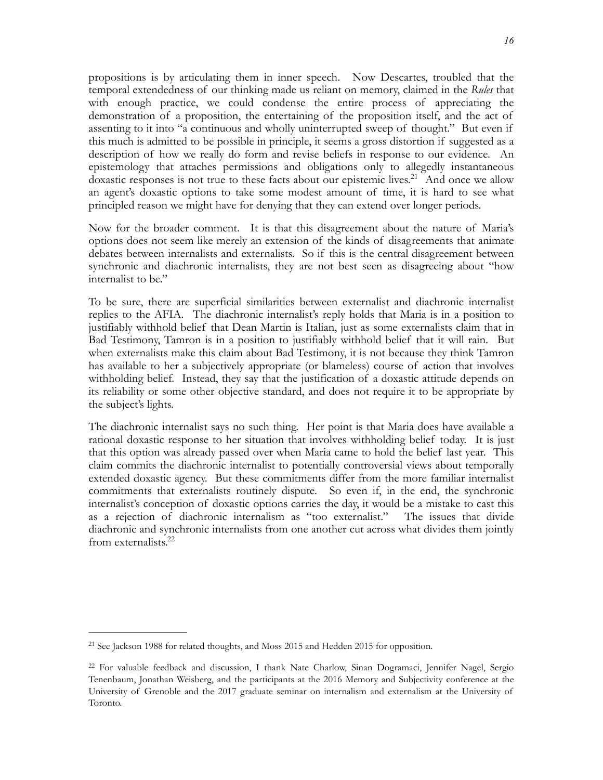propositions is by articulating them in inner speech. Now Descartes, troubled that the temporal extendedness of our thinking made us reliant on memory, claimed in the *Rules* that with enough practice, we could condense the entire process of appreciating the demonstration of a proposition, the entertaining of the proposition itself, and the act of assenting to it into "a continuous and wholly uninterrupted sweep of thought." But even if this much is admitted to be possible in principle, it seems a gross distortion if suggested as a description of how we really do form and revise beliefs in response to our evidence. An epistemology that attaches permissions and obligations only to allegedly instantaneous doxastic responses is not true to these facts about our epistemic lives.<sup>[21](#page-15-0)</sup> And once we allow an agent's doxastic options to take some modest amount of time, it is hard to see what principled reason we might have for denying that they can extend over longer periods.

<span id="page-15-2"></span>Now for the broader comment. It is that this disagreement about the nature of Maria's options does not seem like merely an extension of the kinds of disagreements that animate debates between internalists and externalists. So if this is the central disagreement between synchronic and diachronic internalists, they are not best seen as disagreeing about "how internalist to be."

To be sure, there are superficial similarities between externalist and diachronic internalist replies to the AFIA. The diachronic internalist's reply holds that Maria is in a position to justifiably withhold belief that Dean Martin is Italian, just as some externalists claim that in Bad Testimony, Tamron is in a position to justifiably withhold belief that it will rain. But when externalists make this claim about Bad Testimony, it is not because they think Tamron has available to her a subjectively appropriate (or blameless) course of action that involves withholding belief. Instead, they say that the justification of a doxastic attitude depends on its reliability or some other objective standard, and does not require it to be appropriate by the subject's lights.

The diachronic internalist says no such thing. Her point is that Maria does have available a rational doxastic response to her situation that involves withholding belief today. It is just that this option was already passed over when Maria came to hold the belief last year. This claim commits the diachronic internalist to potentially controversial views about temporally extended doxastic agency. But these commitments differ from the more familiar internalist commitments that externalists routinely dispute. So even if, in the end, the synchronic internalist's conception of doxastic options carries the day, it would be a mistake to cast this as a rejection of diachronic internalism as "too externalist." The issues that divide diachronic and synchronic internalists from one another cut across what divides them jointly from externalists[.22](#page-15-1)

<span id="page-15-3"></span><span id="page-15-0"></span> $21$  See Jackson 1988 for related thoughts, and Moss 2015 and Hedden 2015 for opposition.

<span id="page-15-1"></span><sup>&</sup>lt;sup>[22](#page-15-3)</sup> For valuable feedback and discussion, I thank Nate Charlow, Sinan Dogramaci, Jennifer Nagel, Sergio Tenenbaum, Jonathan Weisberg, and the participants at the 2016 Memory and Subjectivity conference at the University of Grenoble and the 2017 graduate seminar on internalism and externalism at the University of Toronto.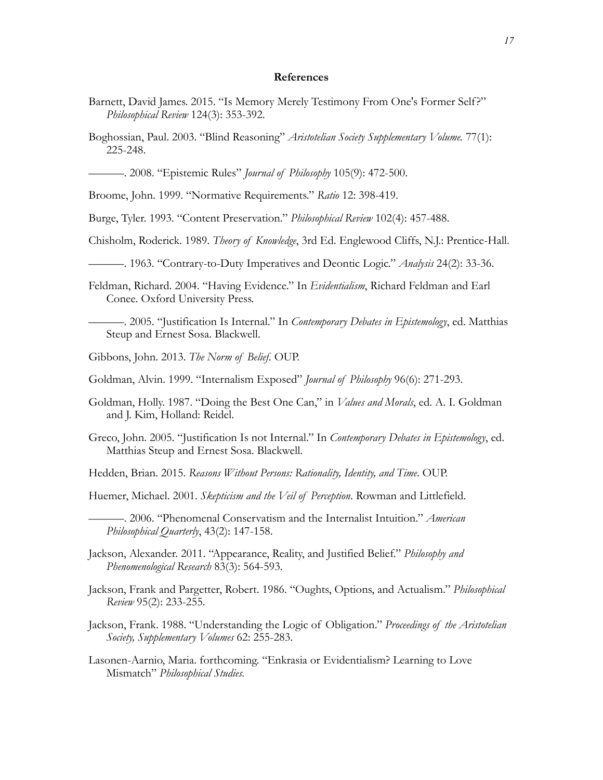#### **References**

- Barnett, David James. 2015. "Is Memory Merely Testimony From One's Former Self?" *Philosophical Review* 124(3): 353-392.
- Boghossian, Paul. 2003. "Blind Reasoning" *Aristotelian Society Supplementary Volume.* 77(1): 225-248.

———. 2008. "Epistemic Rules" *Journal of Philosophy* 105(9): 472-500.

Broome, John. 1999. "Normative Requirements." *Ratio* 12: 398-419.

Burge, Tyler. 1993. "Content Preservation." *Philosophical Review* 102(4): 457-488.

Chisholm, Roderick. 1989. *Theory of Knowledge*, 3rd Ed. Englewood Cliffs, N.J.: Prentice-Hall.

———. 1963. "Contrary-to-Duty Imperatives and Deontic Logic." *Analysis* 24(2): 33-36.

Feldman, Richard. 2004. "Having Evidence." In *Evidentialism*, Richard Feldman and Earl Conee. Oxford University Press.

———. 2005. "Justification Is Internal." In *Contemporary Debates in Epistemology*, ed. Matthias Steup and Ernest Sosa. Blackwell.

Gibbons, John. 2013. *The Norm of Belief.* OUP.

- Goldman, Alvin. 1999. "Internalism Exposed" *Journal of Philosophy* 96(6): 271-293.
- Goldman, Holly. 1987. "Doing the Best One Can," in *Values and Morals*, ed. A. I. Goldman and J. Kim, Holland: Reidel.
- Greco, John. 2005. "Justification Is not Internal." In *Contemporary Debates in Epistemology*, ed. Matthias Steup and Ernest Sosa. Blackwell.

Hedden, Brian. 2015. *Reasons Without Persons: Rationality, Identity, and Time*. OUP.

Huemer, Michael. 2001. *Skepticism and the Veil of Perception*. Rowman and Littlefield.

- Jackson, Alexander. 2011. "Appearance, Reality, and Justified Belief." *Philosophy and Phenomenological Research* 83(3): 564-593.
- Jackson, Frank and Pargetter, Robert. 1986. "Oughts, Options, and Actualism." *Philosophical Review* 95(2): 233-255.
- Jackson, Frank. 1988. "Understanding the Logic of Obligation." *Proceedings of the Aristotelian Society, Supplementary Volumes* 62: 255-283.

Lasonen-Aarnio, Maria. forthcoming. "Enkrasia or Evidentialism? Learning to Love Mismatch" *Philosophical Studies.*

<sup>———. 2006. &</sup>quot;Phenomenal Conservatism and the Internalist Intuition." *American Philosophical Quarterly*, 43(2): 147-158.